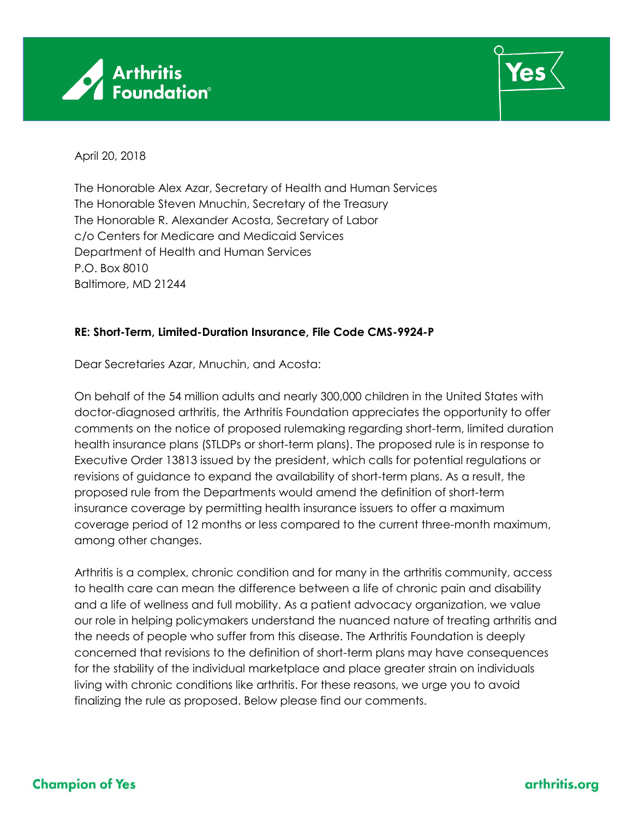



April 20, 2018

The Honorable Alex Azar, Secretary of Health and Human Services The Honorable Steven Mnuchin, Secretary of the Treasury The Honorable R. Alexander Acosta, Secretary of Labor c/o Centers for Medicare and Medicaid Services Department of Health and Human Services P.O. Box 8010 Baltimore, MD 21244

## **RE: Short-Term, Limited-Duration Insurance, File Code CMS-9924-P**

Dear Secretaries Azar, Mnuchin, and Acosta:

On behalf of the 54 million adults and nearly 300,000 children in the United States with doctor-diagnosed arthritis, the Arthritis Foundation appreciates the opportunity to offer comments on the notice of proposed rulemaking regarding short-term, limited duration health insurance plans (STLDPs or short-term plans). The proposed rule is in response to Executive Order 13813 issued by the president, which calls for potential regulations or revisions of guidance to expand the availability of short-term plans. As a result, the proposed rule from the Departments would amend the definition of short-term insurance coverage by permitting health insurance issuers to offer a maximum coverage period of 12 months or less compared to the current three-month maximum, among other changes.

Arthritis is a complex, chronic condition and for many in the arthritis community, access to health care can mean the difference between a life of chronic pain and disability and a life of wellness and full mobility. As a patient advocacy organization, we value our role in helping policymakers understand the nuanced nature of treating arthritis and the needs of people who suffer from this disease. The Arthritis Foundation is deeply concerned that revisions to the definition of short-term plans may have consequences for the stability of the individual marketplace and place greater strain on individuals living with chronic conditions like arthritis. For these reasons, we urge you to avoid finalizing the rule as proposed. Below please find our comments.

## **Champion of Yes**

arthritis.org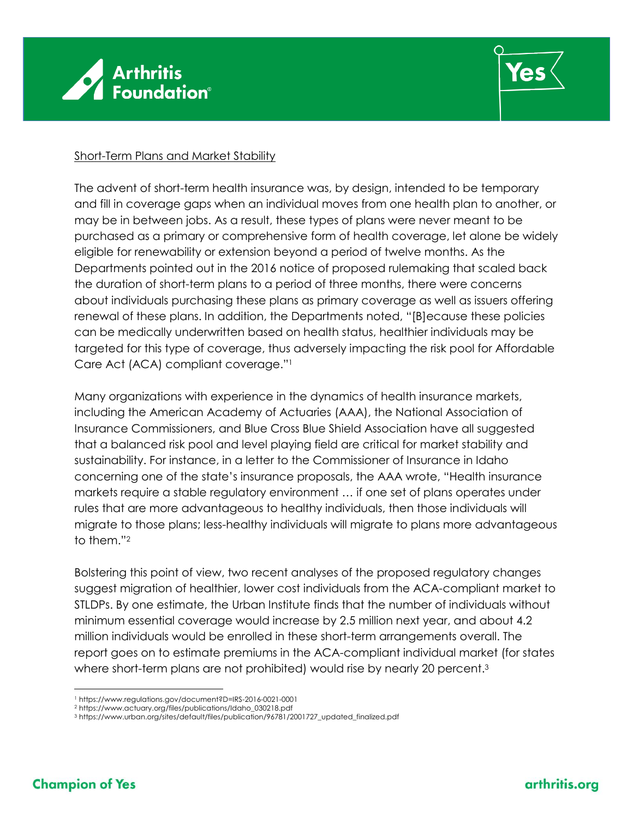



## Short-Term Plans and Market Stability

The advent of short-term health insurance was, by design, intended to be temporary and fill in coverage gaps when an individual moves from one health plan to another, or may be in between jobs. As a result, these types of plans were never meant to be purchased as a primary or comprehensive form of health coverage, let alone be widely eligible for renewability or extension beyond a period of twelve months. As the Departments pointed out in the 2016 notice of proposed rulemaking that scaled back the duration of short-term plans to a period of three months, there were concerns about individuals purchasing these plans as primary coverage as well as issuers offering renewal of these plans. In addition, the Departments noted, "[B]ecause these policies can be medically underwritten based on health status, healthier individuals may be targeted for this type of coverage, thus adversely impacting the risk pool for Affordable Care Act (ACA) compliant coverage."<sup>1</sup>

Many organizations with experience in the dynamics of health insurance markets, including the American Academy of Actuaries (AAA), the National Association of Insurance Commissioners, and Blue Cross Blue Shield Association have all suggested that a balanced risk pool and level playing field are critical for market stability and sustainability. For instance, in a letter to the Commissioner of Insurance in Idaho concerning one of the state's insurance proposals, the AAA wrote, "Health insurance markets require a stable regulatory environment … if one set of plans operates under rules that are more advantageous to healthy individuals, then those individuals will migrate to those plans; less-healthy individuals will migrate to plans more advantageous to them."<sup>2</sup>

Bolstering this point of view, two recent analyses of the proposed regulatory changes suggest migration of healthier, lower cost individuals from the ACA-compliant market to STLDPs. By one estimate, the Urban Institute finds that the number of individuals without minimum essential coverage would increase by 2.5 million next year, and about 4.2 million individuals would be enrolled in these short-term arrangements overall. The report goes on to estimate premiums in the ACA-compliant individual market (for states where short-term plans are not prohibited) would rise by nearly 20 percent.<sup>3</sup>

 $\overline{a}$ <sup>1</sup> https://www.regulations.gov/document?D=IRS-2016-0021-0001

<sup>2</sup> https://www.actuary.org/files/publications/Idaho\_030218.pdf

<sup>3</sup> https://www.urban.org/sites/default/files/publication/96781/2001727\_updated\_finalized.pdf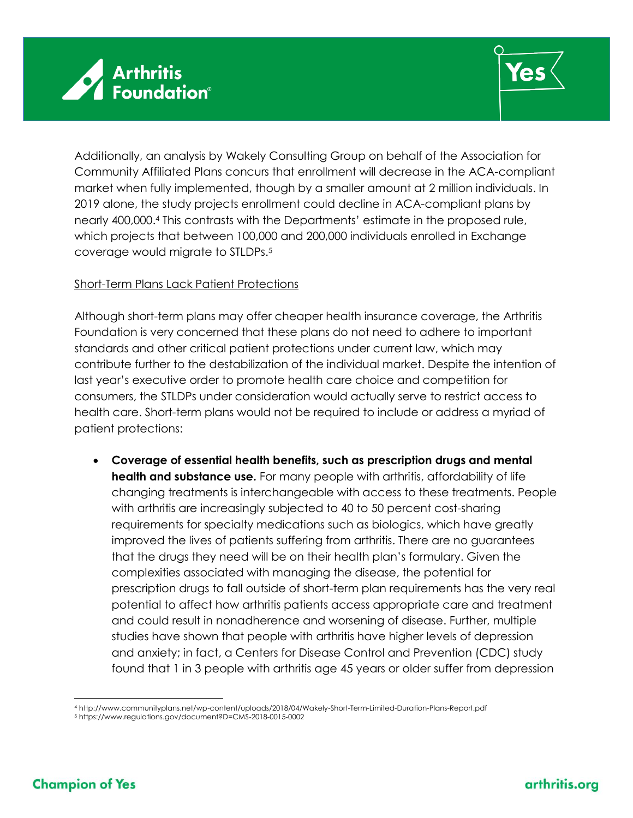



Additionally, an analysis by Wakely Consulting Group on behalf of the Association for Community Affiliated Plans concurs that enrollment will decrease in the ACA-compliant market when fully implemented, though by a smaller amount at 2 million individuals. In 2019 alone, the study projects enrollment could decline in ACA-compliant plans by nearly 400,000. <sup>4</sup> This contrasts with the Departments' estimate in the proposed rule, which projects that between 100,000 and 200,000 individuals enrolled in Exchange coverage would migrate to STLDPs.<sup>5</sup>

## Short-Term Plans Lack Patient Protections

Although short-term plans may offer cheaper health insurance coverage, the Arthritis Foundation is very concerned that these plans do not need to adhere to important standards and other critical patient protections under current law, which may contribute further to the destabilization of the individual market. Despite the intention of last year's executive order to promote health care choice and competition for consumers, the STLDPs under consideration would actually serve to restrict access to health care. Short-term plans would not be required to include or address a myriad of patient protections:

• **Coverage of essential health benefits, such as prescription drugs and mental health and substance use.** For many people with arthritis, affordability of life changing treatments is interchangeable with access to these treatments. People with arthritis are increasingly subjected to 40 to 50 percent cost-sharing requirements for specialty medications such as biologics, which have greatly improved the lives of patients suffering from arthritis. There are no guarantees that the drugs they need will be on their health plan's formulary. Given the complexities associated with managing the disease, the potential for prescription drugs to fall outside of short-term plan requirements has the very real potential to affect how arthritis patients access appropriate care and treatment and could result in nonadherence and worsening of disease. Further, multiple studies have shown that people with arthritis have higher levels of depression and anxiety; in fact, a Centers for Disease Control and Prevention (CDC) study found that 1 in 3 people with arthritis age 45 years or older suffer from depression

 $\overline{a}$ <sup>4</sup> http://www.communityplans.net/wp-content/uploads/2018/04/Wakely-Short-Term-Limited-Duration-Plans-Report.pdf

<sup>5</sup> https://www.regulations.gov/document?D=CMS-2018-0015-0002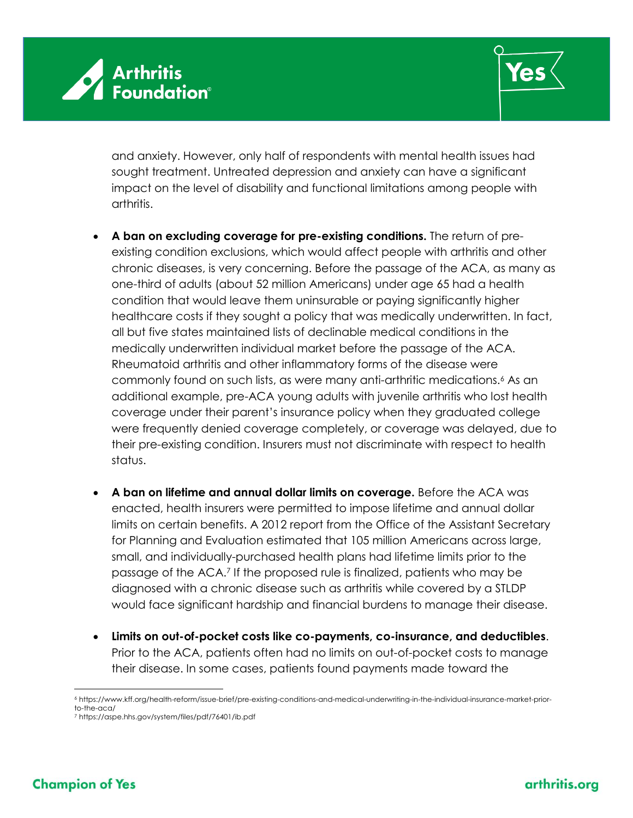



and anxiety. However, only half of respondents with mental health issues had sought treatment. Untreated depression and anxiety can have a significant impact on the level of disability and functional limitations among people with arthritis.

- **A ban on excluding coverage for pre-existing conditions.** The return of preexisting condition exclusions, which would affect people with arthritis and other chronic diseases, is very concerning. Before the passage of the ACA, as many as one-third of adults (about 52 million Americans) under age 65 had a health condition that would leave them uninsurable or paying significantly higher healthcare costs if they sought a policy that was medically underwritten. In fact, all but five states maintained lists of declinable medical conditions in the medically underwritten individual market before the passage of the ACA. Rheumatoid arthritis and other inflammatory forms of the disease were commonly found on such lists, as were many anti-arthritic medications.<sup>6</sup> As an additional example, pre-ACA young adults with juvenile arthritis who lost health coverage under their parent's insurance policy when they graduated college were frequently denied coverage completely, or coverage was delayed, due to their pre-existing condition. Insurers must not discriminate with respect to health status.
- **A ban on lifetime and annual dollar limits on coverage.** Before the ACA was enacted, health insurers were permitted to impose lifetime and annual dollar limits on certain benefits. A 2012 report from the Office of the Assistant Secretary for Planning and Evaluation estimated that 105 million Americans across large, small, and individually-purchased health plans had lifetime limits prior to the passage of the ACA.<sup>7</sup> If the proposed rule is finalized, patients who may be diagnosed with a chronic disease such as arthritis while covered by a STLDP would face significant hardship and financial burdens to manage their disease.
- **Limits on out-of-pocket costs like co-payments, co-insurance, and deductibles**. Prior to the ACA, patients often had no limits on out-of-pocket costs to manage their disease. In some cases, patients found payments made toward the

 $\overline{a}$ <sup>6</sup> https://www.kff.org/health-reform/issue-brief/pre-existing-conditions-and-medical-underwriting-in-the-individual-insurance-market-priorto-the-aca/

<sup>7</sup> https://aspe.hhs.gov/system/files/pdf/76401/ib.pdf